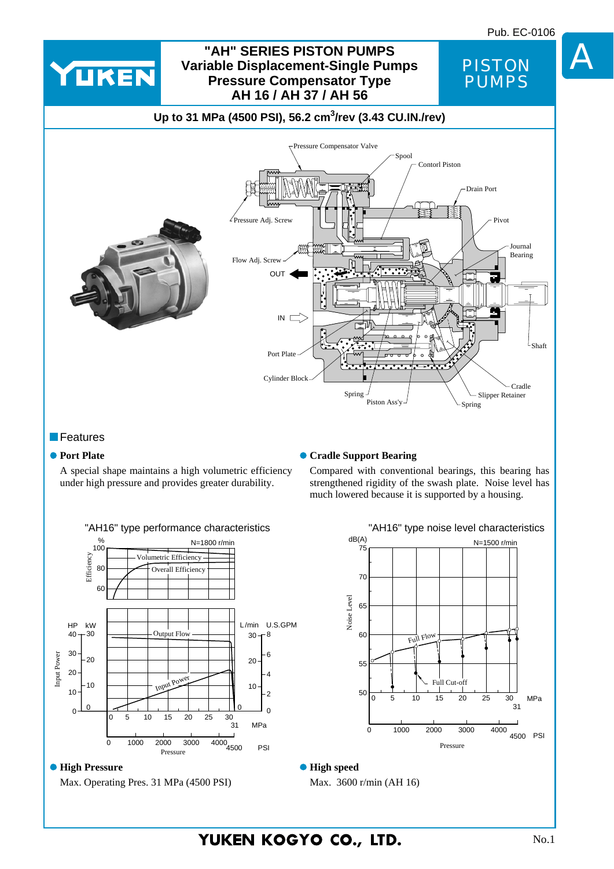

#### **Features**

#### **• Port Plate**

**Cradle Support Bearing** 

A special shape maintains a high volumetric efficiency under high pressure and provides greater durability.

#### Compared with conventional bearings, this bearing has strengthened rigidity of the swash plate. Noise level has much lowered because it is supported by a housing.



### $\bullet$  **High Pressure**

Max. Operating Pres. 31 MPa (4500 PSI)



**High speed**

Max. 3600 r/min (AH 16)

YUKEN KOGYO CO., LTD.

A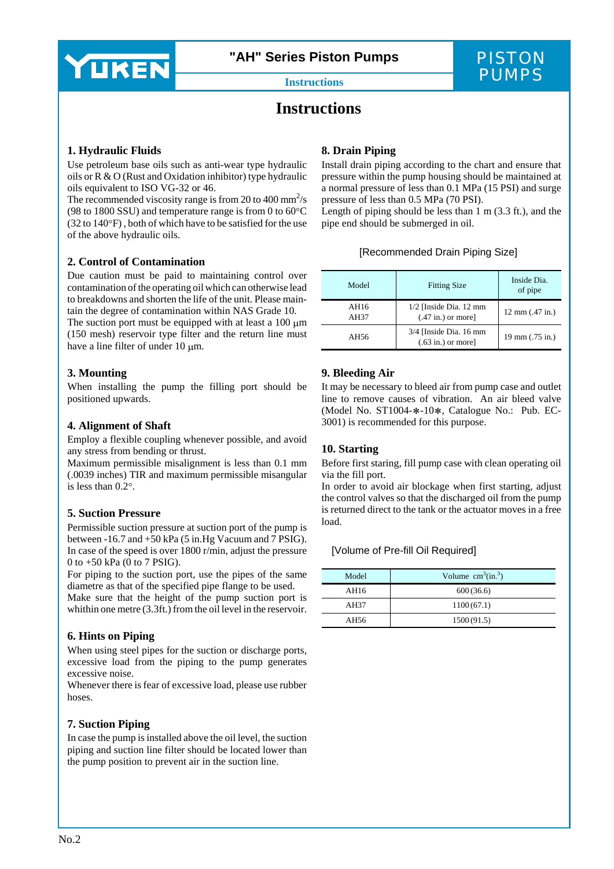

**"AH" Series Piston Pumps**

## PISTON **Instructions** PUMPS

### **Instructions**

#### **1. Hydraulic Fluids**

Use petroleum base oils such as anti-wear type hydraulic oils or R & O (Rust and Oxidation inhibitor) type hydraulic oils equivalent to ISO VG-32 or 46.<br>The recommended viscosity range is from 20 to 400 mm<sup>2</sup>/s

(98 to 1800 SSU) and temperature range is from 0 to 60°C (32 to 140°F) , both of which have to be satisfied for the use of the above hydraulic oils.

#### **2. Control of Contamination**

Due caution must be paid to maintaining control over contamination of the operating oil which can otherwise lead to breakdowns and shorten the life of the unit. Please main tain the degree of contamination within NAS Grade 10.

The suction port must be equipped with at least a  $100 \mu m$ (150 mesh) reservoir type filter and the return line must have a line filter of under 10 μm.

#### **3. Mounting**

When installing the pump the filling port should be positioned upwards.

#### **4. Alignment of Shaft**

Employ a flexible coupling whenever possible, and avoid any stress from bending or thrust.

Maximum permissible misalignment is less than 0.1 mm (.0039 inches) TIR and maximum permissible misangular is less than 0.2°.

#### **5. Suction Pressure**

Permissible suction pressure at suction port of the pump is between  $-16.7$  and  $+50$  kPa (5 in.Hg Vacuum and 7 PSIG). In case of the speed is over 1800 r/min, adjust the pressure 0 to +50 kPa (0 to 7 PSIG).

For piping to the suction port, use the pipes of the same diametre as that of the specified pipe flange to be used. Make sure that the height of the pump suction port is whithin one metre (3.3ft.) from the oil level in the reservoir.

#### **6. Hints on Piping**

When using steel pipes for the suction or discharge ports, excessive load from the piping to the pump generates excessive noise.

Whenever there is fear of excessive load, please use rubber hoses.

#### **7. Suction Piping**

In case the pump is installed above the oil level, the suction piping and suction line filter should be located lower than the pump position to prevent air in the suction line.

#### **8. Drain Piping**

Install drain piping according to the chart and ensure that pressure within the pump housing should be maintained at a normal pressure of less than 0.1 MPa (15 PSI) and surge pressure of less than 0.5 MPa (70 PSI).

Length of piping should be less than 1 m (3.3 ft.), and the pipe end should be submerged in oil.

#### [Recommended Drain Piping Size]

| Model        | <b>Fitting Size</b>                                     | Inside Dia.<br>of pipe    |
|--------------|---------------------------------------------------------|---------------------------|
| AH16<br>AH37 | $1/2$ [Inside Dia. 12 mm<br>$(.47 \text{ in.})$ or more | $12 \text{ mm}$ (.47 in.) |
| AH56         | $3/4$ [Inside Dia. 16 mm<br>$(.63 \text{ in.})$ or more | 19 mm (.75 in.)           |

#### **9. Bleeding Air**

It may be necessary to bleed air from pump case and outlet line to remove causes of vibration. An air bleed valve (Model No. ST1004-∗-10∗, Catalogue No.: Pub. EC-3001) is recommended for this purpose.

#### **10. Starting**

Before first staring, fill pump case with clean operating oil via the fill port.

In order to avoid air blockage when first starting, adjust the control valves so that the discharged oil from the pump is returned direct to the tank or the actuator moves in a free load.

#### [Volume of Pre-fill Oil Required]

| Model | Volume $cm3(in.3)$ |
|-------|--------------------|
| AH16  | 600(36.6)          |
| AH37  | 1100(67.1)         |
| AH56  | 1500(91.5)         |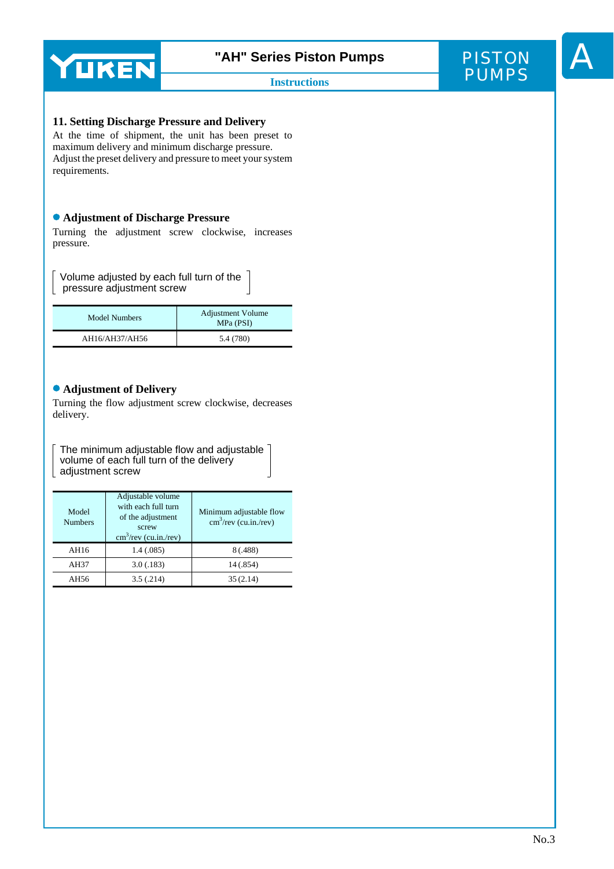



#### **11. Setting Discharge Pressure and Delivery**

At the time of shipment, the unit has been preset to maximum delivery and minimum discharge pressure. Adjust the preset delivery and pressure to meet your system requirements.

#### **Adjustment of Discharge Pressure**

Turning the adjustment screw clockwise, increases pressure.

 $\sqrt{ }$  Volume adjusted by each full turn of the pressure adjustment screw

| Model Numbers  | <b>Adjustment Volume</b><br>MPa (PSI) |  |
|----------------|---------------------------------------|--|
| AH16/AH37/AH56 | 5.4 (780)                             |  |

#### **Adjustment of Delivery**

Turning the flow adjustment screw clockwise, decreases delivery.

The minimum adjustable flow and adjustable  $\overline{\phantom{a}}$ volume of each full turn of the delivery adjustment screw

| Model<br><b>Numbers</b> | Adjustable volume<br>with each full turn<br>of the adjustment<br>screw<br>$\text{cm}^3/\text{rev}$ (cu.in./rev) | Minimum adjustable flow<br>$\text{cm}^3/\text{rev}$ (cu.in./rev) |  |
|-------------------------|-----------------------------------------------------------------------------------------------------------------|------------------------------------------------------------------|--|
| AH16                    | 1.4(0.085)                                                                                                      | 8 (.488)                                                         |  |
| AH37                    | 3.0(0.183)                                                                                                      | 14 (.854)                                                        |  |
| AH56                    | 3.5(.214)                                                                                                       | 35(2.14)                                                         |  |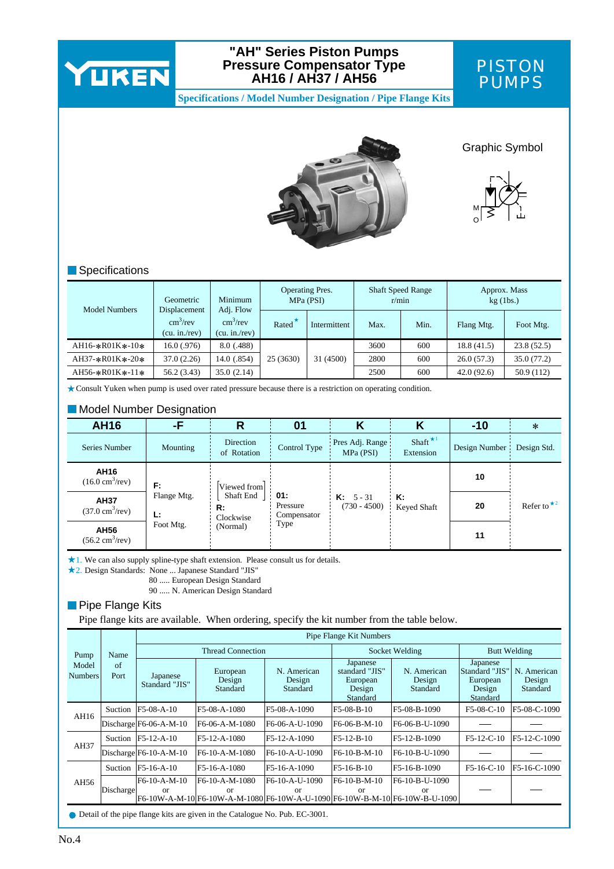

#### **"AH" Series Piston Pumps Pressure Compensator Type AH16 / AH37 / AH56**



**Specifications / Model Number Designation / Pipe Flange Kits**



Graphic Symbol



#### **Specifications**

| Model Numbers           | Geometric                                   | Minimum                                   |                    | <b>Operating Pres.</b><br>MPa (PSI) |           | <b>Shaft Speed Range</b><br>r/min |            | Approx. Mass<br>$kg$ (1bs.) |            |
|-------------------------|---------------------------------------------|-------------------------------------------|--------------------|-------------------------------------|-----------|-----------------------------------|------------|-----------------------------|------------|
|                         | Displacement<br>$cm^3$ /rev<br>(cu. in/rev) | Adj. Flow<br>$cm^3$ /rev<br>(cu. in./rev) | Rated <sup>*</sup> | Intermittent                        | Max.      | Min.                              | Flang Mtg. | Foot Mtg.                   |            |
| $AH16-*R01K*-10*$       | 16.0(0.976)                                 | 8.0(0.488)                                |                    |                                     | 3600      | 600                               | 18.8(41.5) | 23.8(52.5)                  |            |
| $AH37 - * R01K * - 20*$ | 37.0(2.26)                                  | 14.0(0.854)                               | 25 (3630)          |                                     | 31 (4500) | 2800                              | 600        | 26.0(57.3)                  | 35.0(77.2) |
| $AH56-*R01K*-11*$       | 56.2 (3.43)                                 | 35.0(2.14)                                |                    |                                     | 2500      | 600                               | 42.0(92.6) | 50.9 (112)                  |            |

Consult Yuken when pump is used over rated pressure because there is a restriction on operating condition.

#### **Model Number Designation**

| <b>AH16</b>                                     | -F                |                              | 01                             |                                      | Κ                       | $-10$         | $\ast$                        |
|-------------------------------------------------|-------------------|------------------------------|--------------------------------|--------------------------------------|-------------------------|---------------|-------------------------------|
| Series Number                                   | Mounting          | Direction<br>of Rotation     | Control Type                   | Pres Adj. Range<br>MPa (PSI)         | Shaft $*1$<br>Extension | Design Number | Design Std.                   |
| AH16<br>$(16.0 \text{ cm}^3/\text{rev})$        | F:                | Viewed from                  |                                |                                      |                         | 10            |                               |
| <b>AH37</b><br>$(37.0 \text{ cm}^3/\text{rev})$ | Flange Mtg.<br>Ŀ. | Shaft End<br>R:<br>Clockwise | 01:<br>Pressure<br>Compensator | <b>K:</b> $5 - 31$<br>$(730 - 4500)$ | к:<br>Keyed Shaft       | 20            | Refer to $\star$ <sup>2</sup> |
| AH56<br>$(56.2 \text{ cm}^3/\text{rev})$        | Foot Mtg.         | (Normal)                     | Type                           |                                      |                         | 11            |                               |

1. We can also supply spline-type shaft extension. Please consult us for details.

2. Design Standards: None ... Japanese Standard "JIS"

80 ..... European Design Standard

90 ..... N. American Design Standard

#### **Pipe Flange Kits**

Pipe flange kits are available. When ordering, specify the kit number from the table below.

|                         |            |                               |                                                                                                      |                                   | Pipe Flange Kit Numbers                                      |                                   |                                                              |                                   |
|-------------------------|------------|-------------------------------|------------------------------------------------------------------------------------------------------|-----------------------------------|--------------------------------------------------------------|-----------------------------------|--------------------------------------------------------------|-----------------------------------|
| Name<br>Pump            |            | <b>Thread Connection</b>      |                                                                                                      |                                   | Socket Welding                                               |                                   | <b>Butt Welding</b>                                          |                                   |
| Model<br><b>Numbers</b> | of<br>Port | Japanese<br>Standard "JIS"    | European<br>Design<br>Standard                                                                       | N. American<br>Design<br>Standard | Japanese<br>standard "JIS"<br>European<br>Design<br>Standard | N. American<br>Design<br>Standard | Japanese<br>Standard "JIS"<br>European<br>Design<br>Standard | N. American<br>Design<br>Standard |
| AH16                    | Suction    | F5-08-A-10                    | F5-08-A-1080                                                                                         | F5-08-A-1090                      | $F5-08-B-10$                                                 | F5-08-B-1090                      | F5-08-C-10                                                   | F5-08-C-1090                      |
|                         |            | $Discharge$ F6-06-A-M-10      | F6-06-A-M-1080                                                                                       | F6-06-A-U-1090                    | $F6-06-B-M-10$                                               | F6-06-B-U-1090                    |                                                              |                                   |
| AH37                    |            | Suction $ F5-12-A-10 $        | F5-12-A-1080                                                                                         | F5-12-A-1090                      | F5-12-B-10                                                   | F5-12-B-1090                      | $F5-12-C-10$                                                 | F5-12-C-1090                      |
|                         |            | $Discharge$ F6-10-A-M-10      | F6-10-A-M-1080                                                                                       | F6-10-A-U-1090                    | F6-10-B-M-10                                                 | F6-10-B-U-1090                    |                                                              |                                   |
|                         | Suction    | F5-16-A-10                    | F5-16-A-1080                                                                                         | F5-16-A-1090                      | F5-16-B-10                                                   | F5-16-B-1090                      | $F5-16-C-10$                                                 | F5-16-C-1090                      |
| AH56                    | Discharge  | F6-10-A-M-10<br><sub>or</sub> | F6-10-A-M-1080<br>or<br> F6-10W-A-M-10 F6-10W-A-M-1080 F6-10W-A-U-1090 F6-10W-B-M-10 F6-10W-B-U-1090 | F6-10-A-U-1090<br>or              | $F6-10-B-M-10$<br>or                                         | F6-10-B-U-1090<br>or              |                                                              |                                   |
|                         |            |                               | • Detail of the nine flange lite are given in the Catalogue No. Bub, EC 2001                         |                                   |                                                              |                                   |                                                              |                                   |

Detail of the pipe flange kits are given in the Catalogue No. Pub. EC-3001.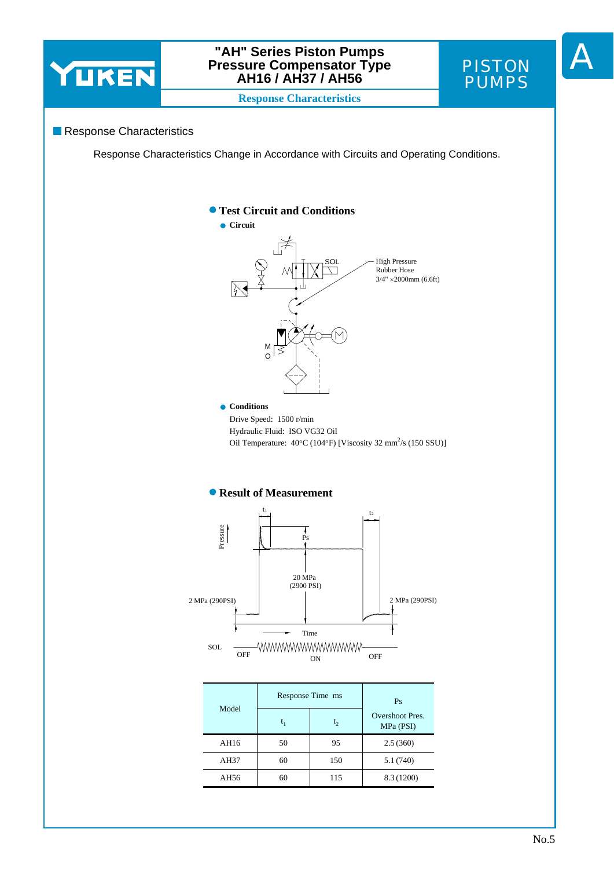

#### **"AH" Series Piston Pumps Pressure Compensator Type AH16 / AH37 / AH56**



A

**Response Characteristics**

#### Response Characteristics

Response Characteristics Change in Accordance with Circuits and Operating Conditions.



| -www.www.www.www<br>SOL.<br>OFF<br>OFF<br>ΩN |  |
|----------------------------------------------|--|
|----------------------------------------------|--|

|       | Response Time ms | Ps  |                              |
|-------|------------------|-----|------------------------------|
| Model | $t_1$            | t   | Overshoot Pres.<br>MPa (PSI) |
| AH16  | 50               | 95  | 2.5(360)                     |
| AH37  | 60               | 150 | 5.1(740)                     |
| AH56  | 60               | 115 | 8.3 (1200)                   |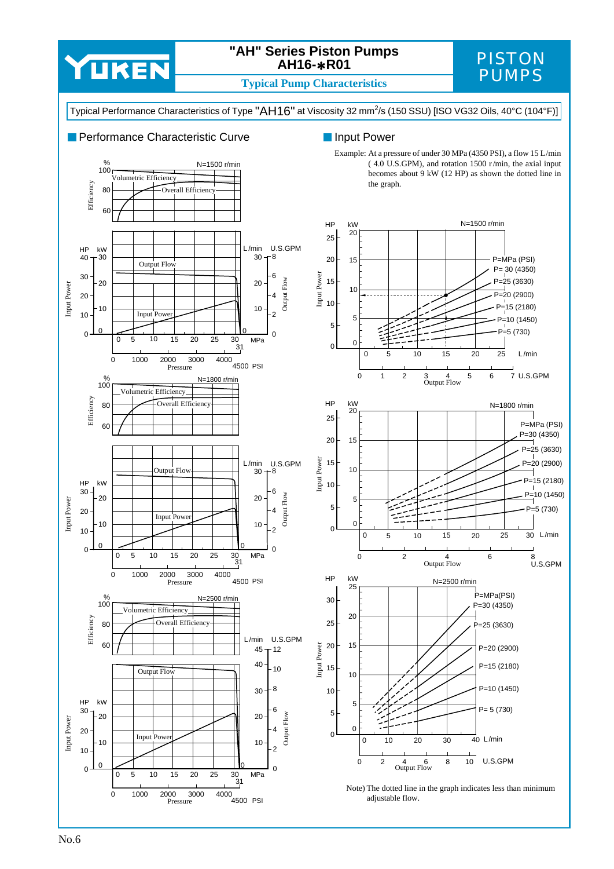

### **"AH" Series Piston Pumps AH16-**∗**R01**

## PISTON

**Typical Pump Characteristics** 

Typical Performance Characteristics of Type "AH16" at Viscosity 32 mm<sup>2</sup>/s (150 SSU) [ISO VG32 Oils, 40°C (104°F)]



#### **Input Power**

Example: At a pressure of under 30 MPa (4350 PSI), a flow 15 L/min ( 4.0 U.S.GPM), and rotation 1500 r /min, the axial input becomes about 9 kW (12 HP) as shown the dotted line in the graph.







Note) The dotted line in the graph indicates less than minimum adjustable flow.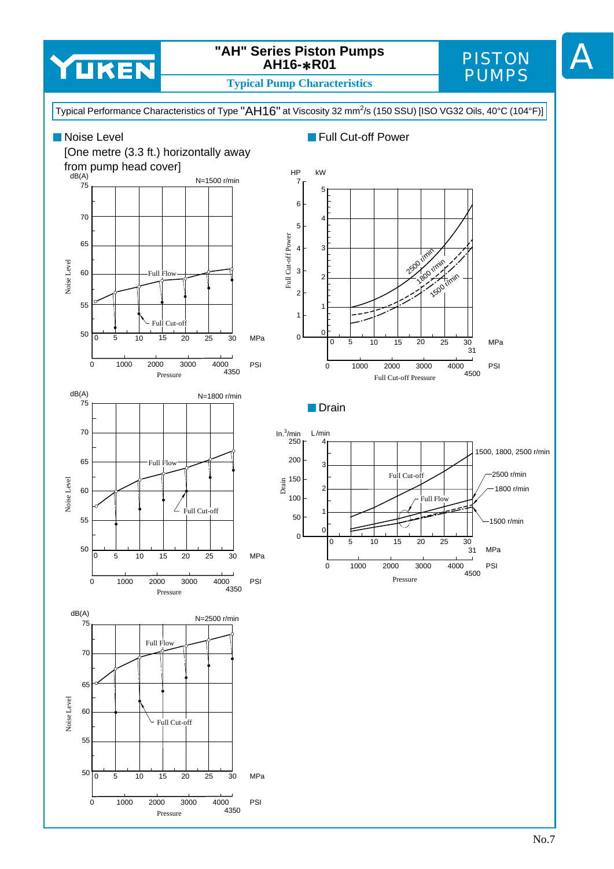

### **"AH" Series Piston Pumps AH16-**∗**R01**

#### **Typical Pump Characteristics**

## PISTON PUMPS

A

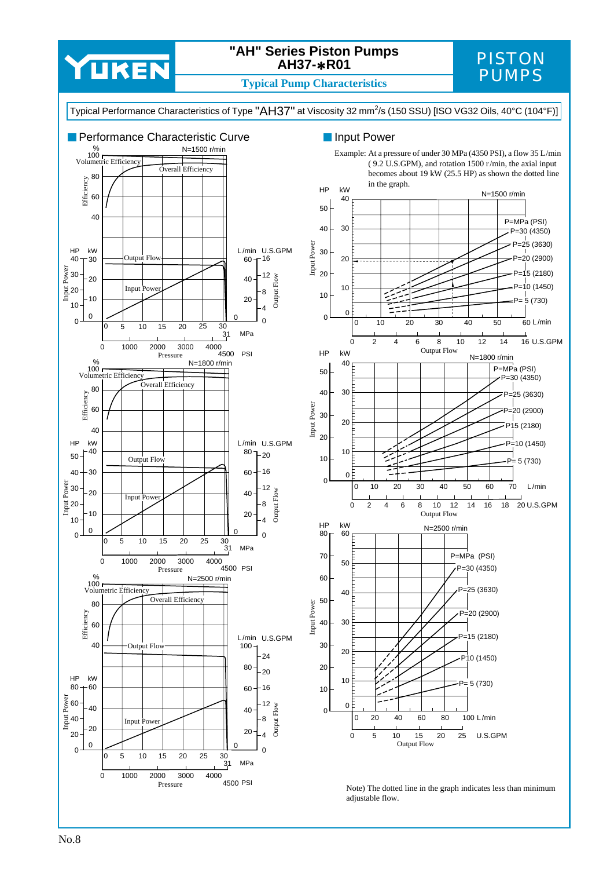

#### **"AH" Series Piston Pumps AH37-**∗**R01**

## PISTON

**Typical Pump Characteristics** 







Note) The dotted line in the graph indicates less than minimum adjustable flow.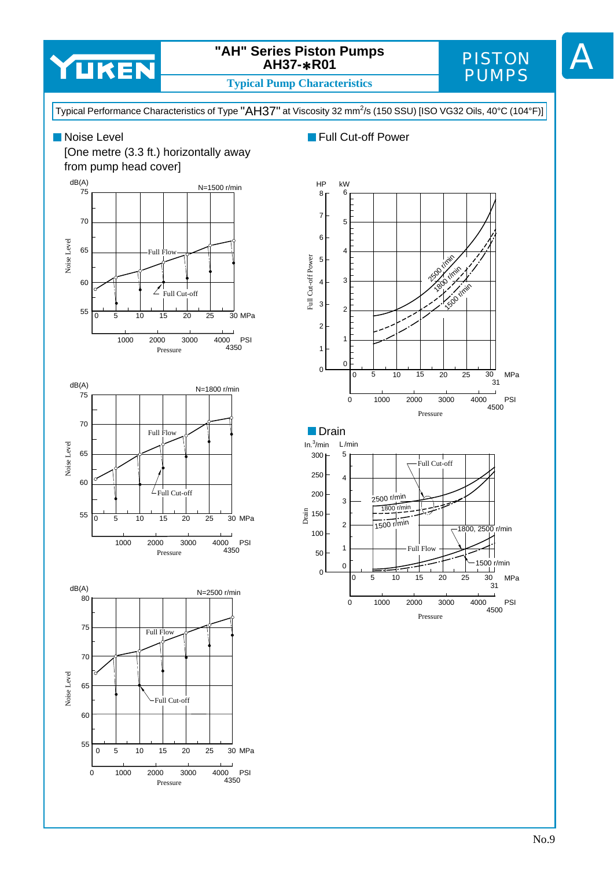

### **"AH" Series Piston Pumps AH37-**∗**R01**

**Typical Pump Characteristics**

PISTON PUMPS

A

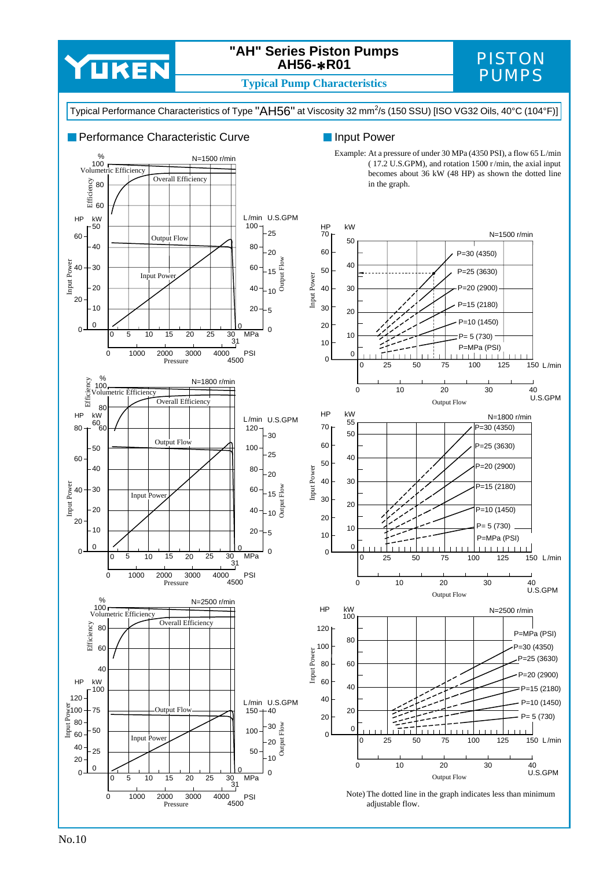

#### **"AH" Series Piston Pumps AH56-**∗**R01**

## PISTON

**Typical Pump Characteristics** 



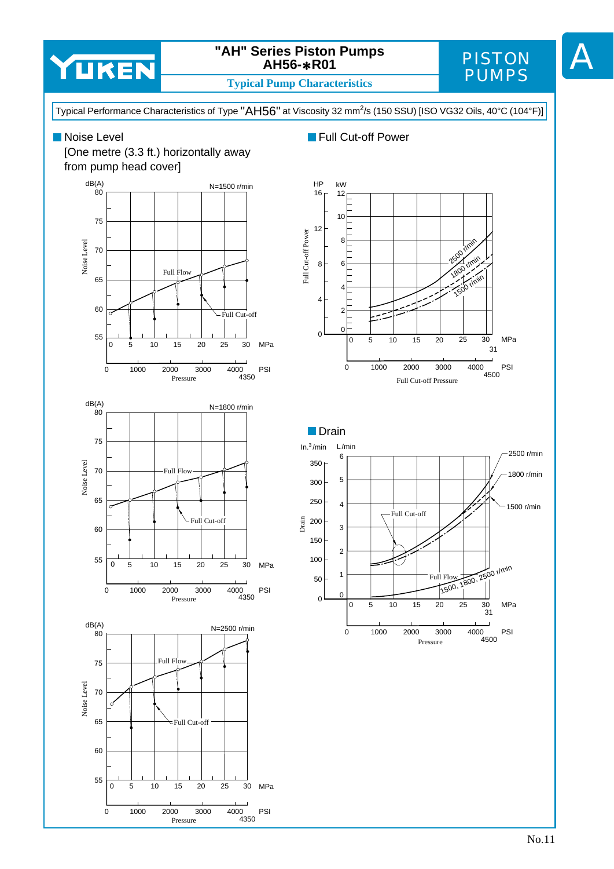

### **"AH" Series Piston Pumps AH56-**∗**R01**

## PISTON PUMPS

A

**Typical Pump Characteristics**

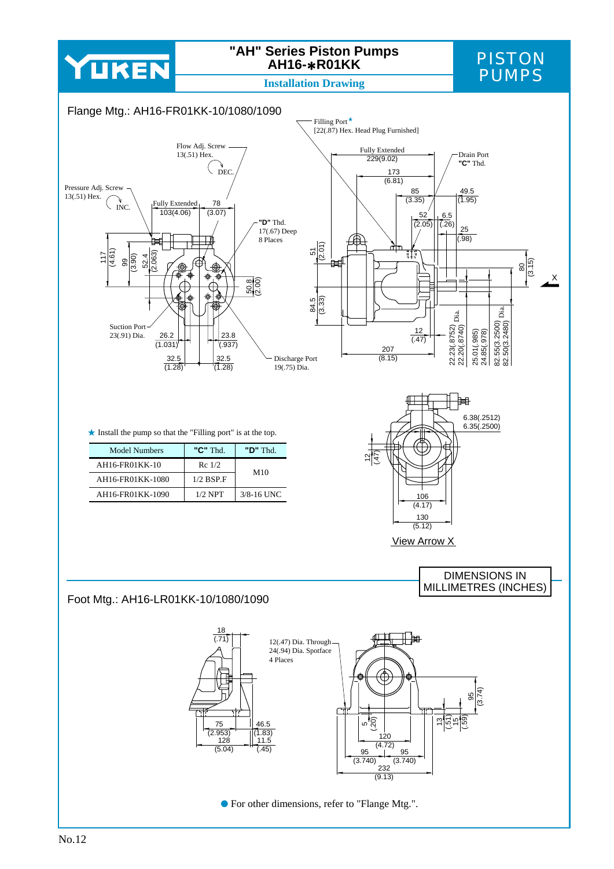# YUKEN

### **"AH" Series Piston Pumps AH16-**∗**R01KK**

## PISTON<br>PUMPS

**Installation Drawing** 

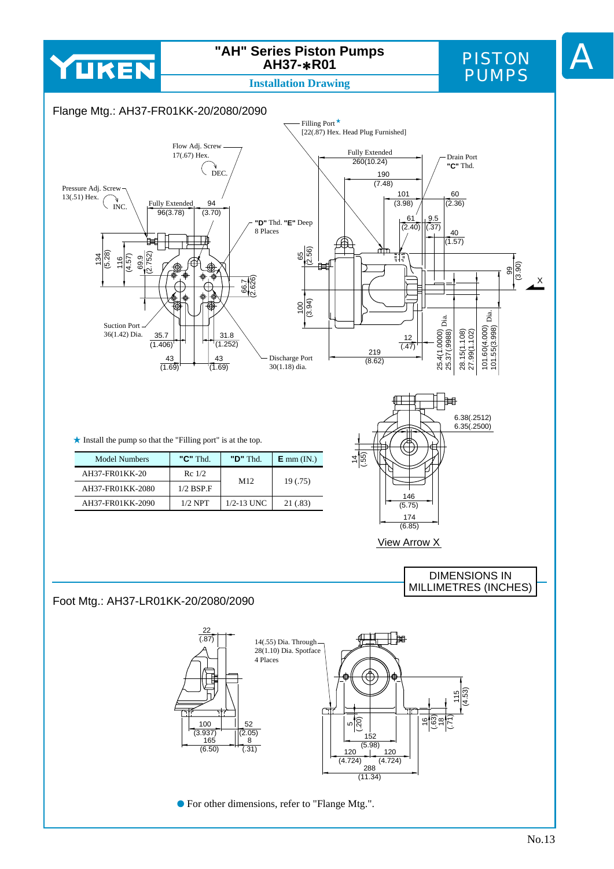

### **"AH" Series Piston Pumps AH37-**∗**R01**

## PISTON PUMPS

A

**Installation Drawing**

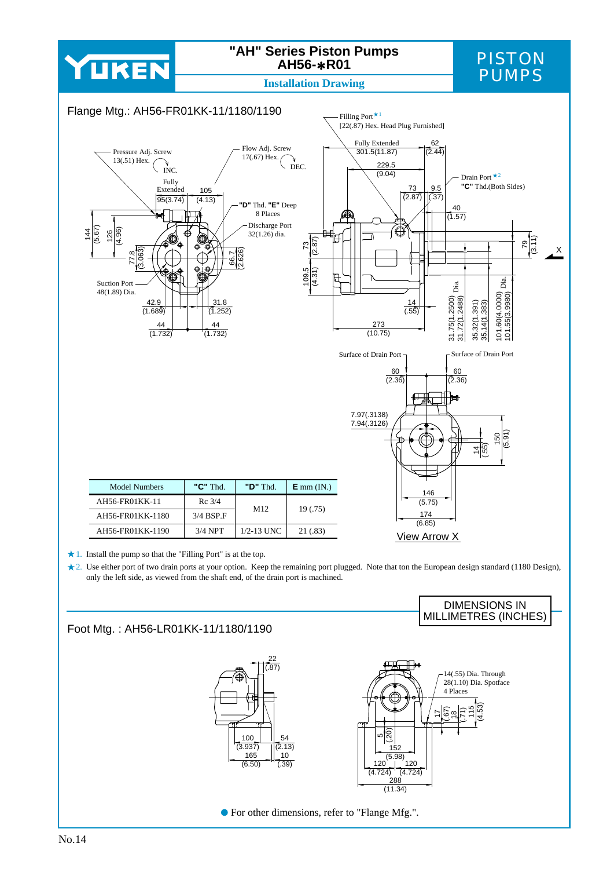## YUKEN

### **"AH" Series Piston Pumps AH56-**∗**R01**

## PISTON PUMPS

**Installation Drawing**



1. Install the pump so that the "Filling Port" is at the top.

2. Use either port of two drain ports at your option. Keep the remaining port plugged. Note that ton the European design standard (1180 Design), only the left side, as viewed from the shaft end, of the drain port is machined.